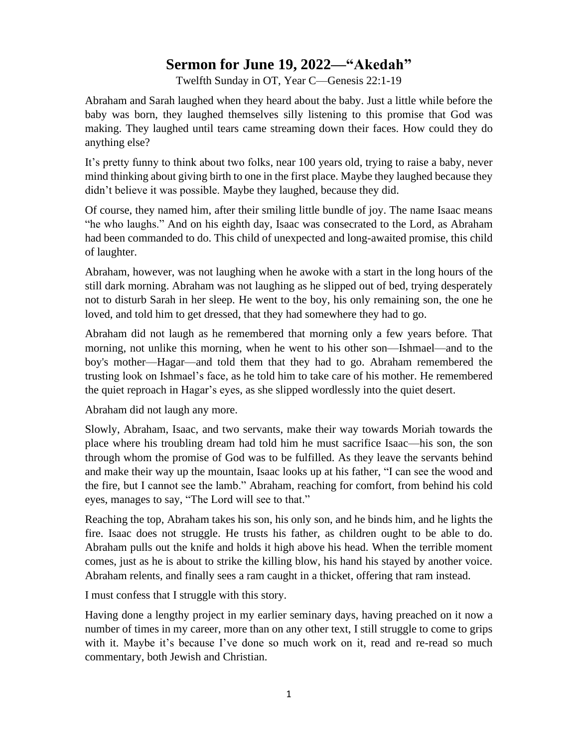## **Sermon for June 19, 2022—"Akedah"**

Twelfth Sunday in OT, Year C—Genesis 22:1-19

Abraham and Sarah laughed when they heard about the baby. Just a little while before the baby was born, they laughed themselves silly listening to this promise that God was making. They laughed until tears came streaming down their faces. How could they do anything else?

It's pretty funny to think about two folks, near 100 years old, trying to raise a baby, never mind thinking about giving birth to one in the first place. Maybe they laughed because they didn't believe it was possible. Maybe they laughed, because they did.

Of course, they named him, after their smiling little bundle of joy. The name Isaac means "he who laughs." And on his eighth day, Isaac was consecrated to the Lord, as Abraham had been commanded to do. This child of unexpected and long-awaited promise, this child of laughter.

Abraham, however, was not laughing when he awoke with a start in the long hours of the still dark morning. Abraham was not laughing as he slipped out of bed, trying desperately not to disturb Sarah in her sleep. He went to the boy, his only remaining son, the one he loved, and told him to get dressed, that they had somewhere they had to go.

Abraham did not laugh as he remembered that morning only a few years before. That morning, not unlike this morning, when he went to his other son––Ishmael—and to the boy's mother––Hagar—and told them that they had to go. Abraham remembered the trusting look on Ishmael's face, as he told him to take care of his mother. He remembered the quiet reproach in Hagar's eyes, as she slipped wordlessly into the quiet desert.

Abraham did not laugh any more.

Slowly, Abraham, Isaac, and two servants, make their way towards Moriah towards the place where his troubling dream had told him he must sacrifice Isaac—his son, the son through whom the promise of God was to be fulfilled. As they leave the servants behind and make their way up the mountain, Isaac looks up at his father, "I can see the wood and the fire, but I cannot see the lamb." Abraham, reaching for comfort, from behind his cold eyes, manages to say, "The Lord will see to that."

Reaching the top, Abraham takes his son, his only son, and he binds him, and he lights the fire. Isaac does not struggle. He trusts his father, as children ought to be able to do. Abraham pulls out the knife and holds it high above his head. When the terrible moment comes, just as he is about to strike the killing blow, his hand his stayed by another voice. Abraham relents, and finally sees a ram caught in a thicket, offering that ram instead.

I must confess that I struggle with this story.

Having done a lengthy project in my earlier seminary days, having preached on it now a number of times in my career, more than on any other text, I still struggle to come to grips with it. Maybe it's because I've done so much work on it, read and re-read so much commentary, both Jewish and Christian.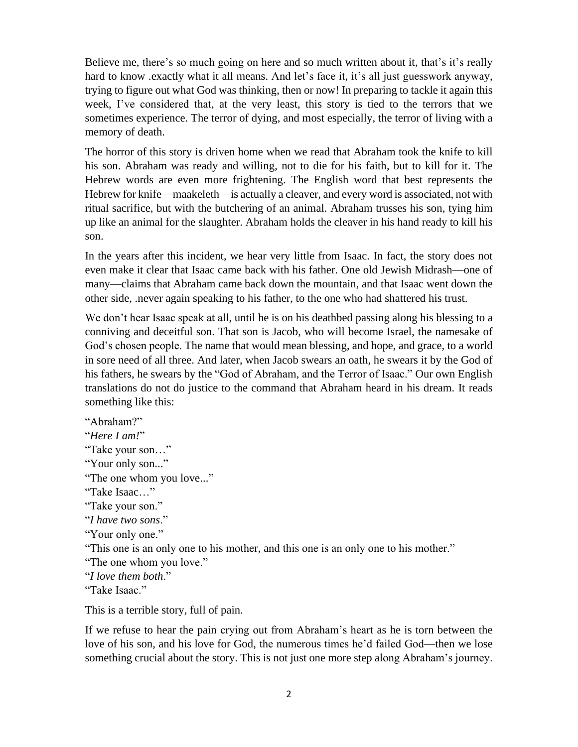Believe me, there's so much going on here and so much written about it, that's it's really hard to know .exactly what it all means. And let's face it, it's all just guesswork anyway, trying to figure out what God was thinking, then or now! In preparing to tackle it again this week, I've considered that, at the very least, this story is tied to the terrors that we sometimes experience. The terror of dying, and most especially, the terror of living with a memory of death.

The horror of this story is driven home when we read that Abraham took the knife to kill his son. Abraham was ready and willing, not to die for his faith, but to kill for it. The Hebrew words are even more frightening. The English word that best represents the Hebrew for knife—maakeleth—is actually a cleaver, and every word is associated, not with ritual sacrifice, but with the butchering of an animal. Abraham trusses his son, tying him up like an animal for the slaughter. Abraham holds the cleaver in his hand ready to kill his son.

In the years after this incident, we hear very little from Isaac. In fact, the story does not even make it clear that Isaac came back with his father. One old Jewish Midrash––one of many—claims that Abraham came back down the mountain, and that Isaac went down the other side, .never again speaking to his father, to the one who had shattered his trust.

We don't hear Isaac speak at all, until he is on his deathbed passing along his blessing to a conniving and deceitful son. That son is Jacob, who will become Israel, the namesake of God's chosen people. The name that would mean blessing, and hope, and grace, to a world in sore need of all three. And later, when Jacob swears an oath, he swears it by the God of his fathers, he swears by the "God of Abraham, and the Terror of Isaac." Our own English translations do not do justice to the command that Abraham heard in his dream. It reads something like this:

"Abraham?" "*Here I am!*" "Take your son…" "Your only son..." "The one whom you love..." "Take Isaac…" "Take your son." "*I have two sons*." "Your only one." "This one is an only one to his mother, and this one is an only one to his mother." "The one whom you love." "*I love them both*." "Take Isaac."

This is a terrible story, full of pain.

If we refuse to hear the pain crying out from Abraham's heart as he is torn between the love of his son, and his love for God, the numerous times he'd failed God—then we lose something crucial about the story. This is not just one more step along Abraham's journey.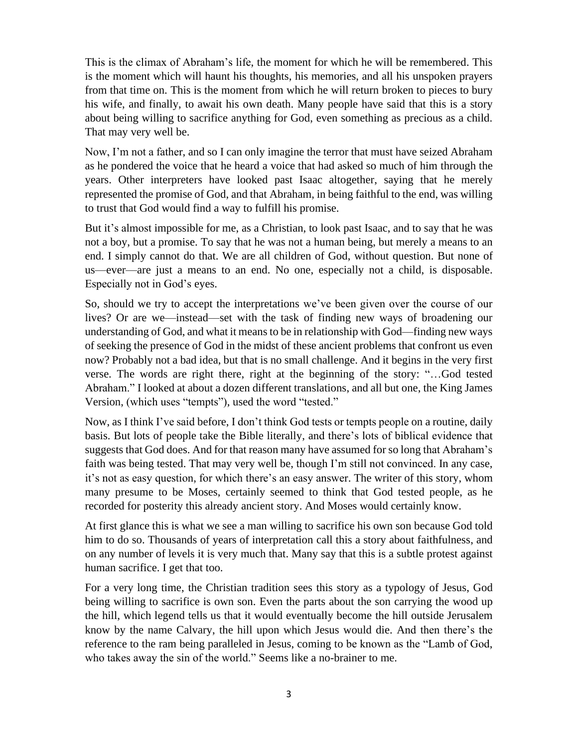This is the climax of Abraham's life, the moment for which he will be remembered. This is the moment which will haunt his thoughts, his memories, and all his unspoken prayers from that time on. This is the moment from which he will return broken to pieces to bury his wife, and finally, to await his own death. Many people have said that this is a story about being willing to sacrifice anything for God, even something as precious as a child. That may very well be.

Now, I'm not a father, and so I can only imagine the terror that must have seized Abraham as he pondered the voice that he heard a voice that had asked so much of him through the years. Other interpreters have looked past Isaac altogether, saying that he merely represented the promise of God, and that Abraham, in being faithful to the end, was willing to trust that God would find a way to fulfill his promise.

But it's almost impossible for me, as a Christian, to look past Isaac, and to say that he was not a boy, but a promise. To say that he was not a human being, but merely a means to an end. I simply cannot do that. We are all children of God, without question. But none of us—ever—are just a means to an end. No one, especially not a child, is disposable. Especially not in God's eyes.

So, should we try to accept the interpretations we've been given over the course of our lives? Or are we––instead––set with the task of finding new ways of broadening our understanding of God, and what it means to be in relationship with God—finding new ways of seeking the presence of God in the midst of these ancient problems that confront us even now? Probably not a bad idea, but that is no small challenge. And it begins in the very first verse. The words are right there, right at the beginning of the story: "…God tested Abraham." I looked at about a dozen different translations, and all but one, the King James Version, (which uses "tempts"), used the word "tested."

Now, as I think I've said before, I don't think God tests or tempts people on a routine, daily basis. But lots of people take the Bible literally, and there's lots of biblical evidence that suggests that God does. And for that reason many have assumed for so long that Abraham's faith was being tested. That may very well be, though I'm still not convinced. In any case, it's not as easy question, for which there's an easy answer. The writer of this story, whom many presume to be Moses, certainly seemed to think that God tested people, as he recorded for posterity this already ancient story. And Moses would certainly know.

At first glance this is what we see a man willing to sacrifice his own son because God told him to do so. Thousands of years of interpretation call this a story about faithfulness, and on any number of levels it is very much that. Many say that this is a subtle protest against human sacrifice. I get that too.

For a very long time, the Christian tradition sees this story as a typology of Jesus, God being willing to sacrifice is own son. Even the parts about the son carrying the wood up the hill, which legend tells us that it would eventually become the hill outside Jerusalem know by the name Calvary, the hill upon which Jesus would die. And then there's the reference to the ram being paralleled in Jesus, coming to be known as the "Lamb of God, who takes away the sin of the world." Seems like a no-brainer to me.